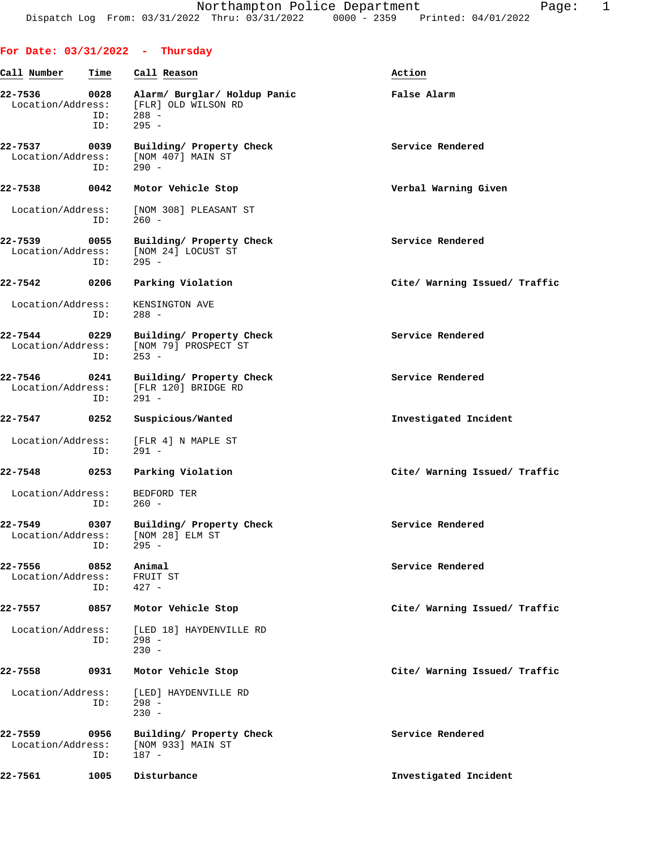|                              |                    | For Date: $03/31/2022 - Thursday$                                         |                               |
|------------------------------|--------------------|---------------------------------------------------------------------------|-------------------------------|
| Call Number                  | Time               | Call Reason                                                               | Action                        |
| 22-7536<br>Location/Address: | 0028<br>ID:<br>ID: | Alarm/ Burglar/ Holdup Panic<br>[FLR] OLD WILSON RD<br>$288 -$<br>$295 -$ | False Alarm                   |
| 22-7537<br>Location/Address: | 0039<br>ID:        | Building/ Property Check<br>[NOM 407] MAIN ST<br>$290 -$                  | Service Rendered              |
| 22-7538                      | 0042               | Motor Vehicle Stop                                                        | Verbal Warning Given          |
| Location/Address:            | ID:                | [NOM 308] PLEASANT ST<br>$260 -$                                          |                               |
| 22-7539<br>Location/Address: | 0055<br>ID:        | Building/ Property Check<br>[NOM 24] LOCUST ST<br>$295 -$                 | Service Rendered              |
| 22-7542                      | 0206               | Parking Violation                                                         | Cite/ Warning Issued/ Traffic |
| Location/Address:            | ID:                | KENSINGTON AVE<br>$288 -$                                                 |                               |
| 22-7544<br>Location/Address: | 0229<br>ID:        | Building/ Property Check<br>[NOM 79] PROSPECT ST<br>$253 -$               | Service Rendered              |
| 22-7546<br>Location/Address: | 0241<br>ID:        | Building/ Property Check<br>[FLR 120] BRIDGE RD<br>$291 -$                | Service Rendered              |
| 22-7547                      | 0252               | Suspicious/Wanted                                                         | Investigated Incident         |
| Location/Address:            | ID:                | [FLR 4] N MAPLE ST<br>$291 -$                                             |                               |
| 22-7548                      | 0253               | Parking Violation                                                         | Cite/ Warning Issued/ Traffic |
| Location/Address:            | ID:                | BEDFORD TER<br>$260 -$                                                    |                               |
| 22-7549<br>Location/Address: | 0307<br>ID:        | Building/ Property Check<br>[NOM 28] ELM ST<br>$295 -$                    | Service Rendered              |
| 22-7556<br>Location/Address: | 0852<br>ID:        | Animal<br>FRUIT ST<br>$427 -$                                             | Service Rendered              |
| 22-7557                      | 0857               | Motor Vehicle Stop                                                        | Cite/ Warning Issued/ Traffic |
| Location/Address:            | ID:                | [LED 18] HAYDENVILLE RD<br>$298 -$<br>$230 -$                             |                               |
| 22-7558                      | 0931               | Motor Vehicle Stop                                                        | Cite/ Warning Issued/ Traffic |
| Location/Address:            | ID:                | [LED] HAYDENVILLE RD<br>$298 -$<br>$230 -$                                |                               |
| 22-7559<br>Location/Address: | 0956<br>ID:        | Building/ Property Check<br>[NOM 933] MAIN ST<br>187 -                    | Service Rendered              |
| 22-7561                      | 1005               | Disturbance                                                               | Investigated Incident         |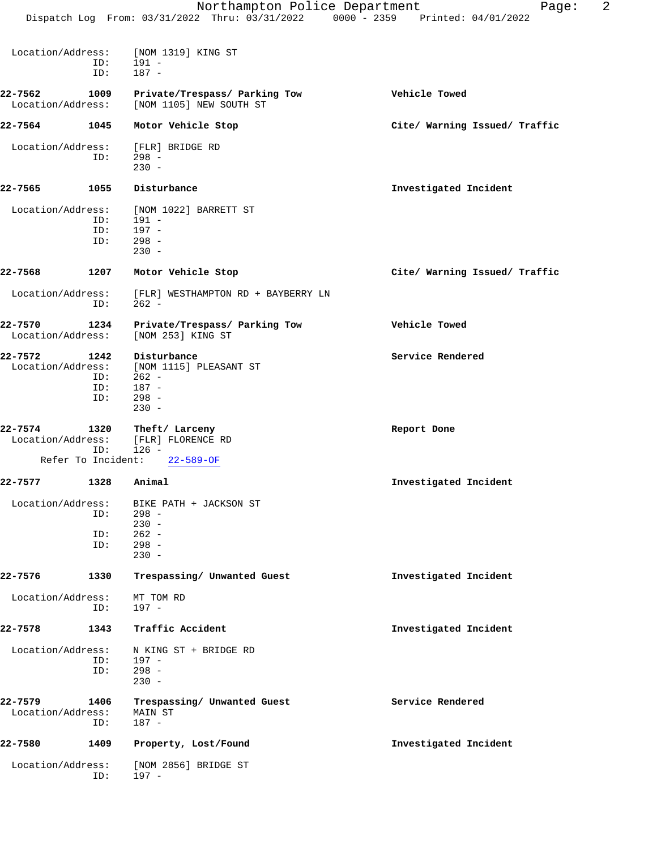|                              |            | Northampton Police Department<br>Dispatch Log From: 03/31/2022 Thru: 03/31/2022 0000 - 2359 Printed: 04/01/2022 | 2<br>Page:                    |
|------------------------------|------------|-----------------------------------------------------------------------------------------------------------------|-------------------------------|
|                              |            |                                                                                                                 |                               |
| Location/Address:            | ID:<br>ID: | [NOM 1319] KING ST<br>191 -<br>$187 -$                                                                          |                               |
| 22-7562                      | 1009       | Private/Trespass/ Parking Tow                                                                                   | Vehicle Towed                 |
| Location/Address:            |            | [NOM 1105] NEW SOUTH ST                                                                                         |                               |
| 22-7564                      | 1045       | Motor Vehicle Stop                                                                                              | Cite/ Warning Issued/ Traffic |
| Location/Address:            |            | [FLR] BRIDGE RD                                                                                                 |                               |
|                              | ID:        | $298 -$<br>$230 -$                                                                                              |                               |
| 22-7565                      | 1055       | Disturbance                                                                                                     | Investigated Incident         |
| Location/Address:            | ID:        | [NOM 1022] BARRETT ST<br>$191 -$                                                                                |                               |
|                              | ID:        | 197 -                                                                                                           |                               |
|                              | ID:        | $298 -$<br>$230 -$                                                                                              |                               |
| 22-7568                      | 1207       | Motor Vehicle Stop                                                                                              | Cite/ Warning Issued/ Traffic |
| Location/Address:            | ID:        | [FLR] WESTHAMPTON RD + BAYBERRY LN<br>$262 -$                                                                   |                               |
| 22-7570<br>Location/Address: | 1234       | Private/Trespass/ Parking Tow<br>[NOM 253] KING ST                                                              | Vehicle Towed                 |
| 22-7572                      | 1242       | Disturbance                                                                                                     | Service Rendered              |
| Location/Address:            |            | [NOM 1115] PLEASANT ST                                                                                          |                               |
|                              | ID:<br>ID: | $262 -$<br>187 -                                                                                                |                               |
|                              | ID:        | $298 -$                                                                                                         |                               |
|                              |            | $230 -$                                                                                                         |                               |
| 22-7574                      | 1320       | Theft/ Larceny<br>Location/Address: [FLR] FLORENCE RD                                                           | Report Done                   |
|                              | ID:        | $126 -$<br>Refer To Incident: 22-589-OF                                                                         |                               |
| 22-7577                      |            | 1328 Animal                                                                                                     | Investigated Incident         |
| Location/Address:            |            | BIKE PATH + JACKSON ST                                                                                          |                               |
|                              | ID:        | $298 -$<br>$230 -$                                                                                              |                               |
|                              | ID:        | $262 -$                                                                                                         |                               |
|                              | ID:        | $298 -$<br>$230 -$                                                                                              |                               |
| 22-7576                      | 1330       | Trespassing/ Unwanted Guest                                                                                     | Investigated Incident         |
| Location/Address:            | ID:        | MT TOM RD<br>$197 -$                                                                                            |                               |
| 22-7578                      | 1343       | Traffic Accident                                                                                                | Investigated Incident         |
| Location/Address:            |            | N KING ST + BRIDGE RD                                                                                           |                               |
|                              | ID:<br>ID: | 197 -<br>$298 -$<br>$230 -$                                                                                     |                               |
| 22-7579                      | 1406       | Trespassing/ Unwanted Guest                                                                                     | Service Rendered              |
| Location/Address:            | ID:        | MAIN ST<br>$187 -$                                                                                              |                               |
| 22-7580                      | 1409       | Property, Lost/Found                                                                                            | Investigated Incident         |
| Location/Address:            | ID:        | [NOM 2856] BRIDGE ST<br>$197 -$                                                                                 |                               |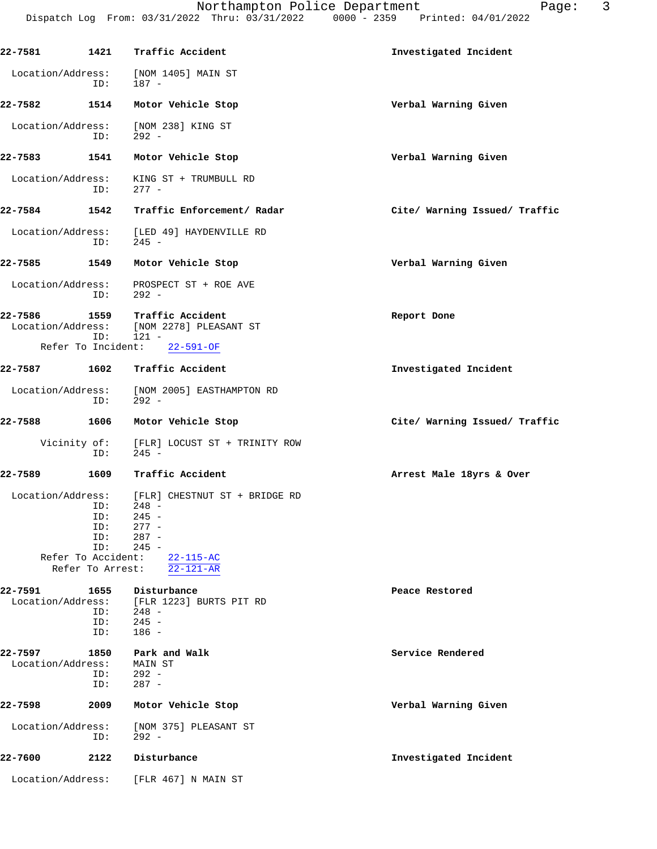| 22-7581                      | 1421                                                                      | Traffic Accident                                                                                                           | Investigated Incident         |
|------------------------------|---------------------------------------------------------------------------|----------------------------------------------------------------------------------------------------------------------------|-------------------------------|
| Location/Address:            | ID:                                                                       | [NOM 1405] MAIN ST<br>$187 -$                                                                                              |                               |
| 22-7582                      | 1514                                                                      | Motor Vehicle Stop                                                                                                         | Verbal Warning Given          |
| Location/Address:            | ID:                                                                       | [NOM 238] KING ST<br>$292 -$                                                                                               |                               |
| 22-7583                      | 1541                                                                      | Motor Vehicle Stop                                                                                                         | Verbal Warning Given          |
| Location/Address:            | ID:                                                                       | KING ST + TRUMBULL RD<br>$277 -$                                                                                           |                               |
| 22-7584                      | 1542                                                                      | Traffic Enforcement/ Radar                                                                                                 | Cite/ Warning Issued/ Traffic |
| Location/Address:            | ID:                                                                       | [LED 49] HAYDENVILLE RD<br>245 -                                                                                           |                               |
| 22-7585                      | 1549                                                                      | Motor Vehicle Stop                                                                                                         | Verbal Warning Given          |
| Location/Address:            | ID:                                                                       | PROSPECT ST + ROE AVE<br>$292 -$                                                                                           |                               |
| 22-7586<br>Location/Address: | 1559<br>ID:                                                               | Traffic Accident<br>[NOM 2278] PLEASANT ST<br>$121 -$                                                                      | Report Done                   |
|                              | Refer To Incident:                                                        | $22 - 591 - OF$                                                                                                            |                               |
| 22-7587                      | 1602                                                                      | Traffic Accident                                                                                                           | Investigated Incident         |
| Location/Address:            | ID:                                                                       | [NOM 2005] EASTHAMPTON RD<br>$292 -$                                                                                       |                               |
| 22-7588                      | 1606                                                                      | Motor Vehicle Stop                                                                                                         | Cite/ Warning Issued/ Traffic |
|                              | Vicinity of:<br>ID:                                                       | [FLR] LOCUST ST + TRINITY ROW<br>$245 -$                                                                                   |                               |
| 22-7589                      | 1609                                                                      | Traffic Accident                                                                                                           | Arrest Male 18yrs & Over      |
| Location/Address:            | ID:<br>ID:<br>ID:<br>ID:<br>ID:<br>Refer To Accident:<br>Refer To Arrest: | [FLR] CHESTNUT ST + BRIDGE RD<br>$248 -$<br>$245 -$<br>$277 -$<br>$287 -$<br>$245 -$<br>$22 - 115 - AC$<br>$22 - 121 - AR$ |                               |
| 22-7591<br>Location/Address: | 1655<br>ID:<br>ID:<br>ID:                                                 | Disturbance<br>[FLR 1223] BURTS PIT RD<br>$248 -$<br>$245 -$<br>$186 -$                                                    | Peace Restored                |
| 22-7597<br>Location/Address: | 1850<br>ID:<br>ID:                                                        | Park and Walk<br>MAIN ST<br>$292 -$<br>$287 -$                                                                             | Service Rendered              |
| 22-7598                      | 2009                                                                      | Motor Vehicle Stop                                                                                                         | Verbal Warning Given          |

 Location/Address: [NOM 375] PLEASANT ST ID: 292 - **22-7600 2122 Disturbance Investigated Incident**